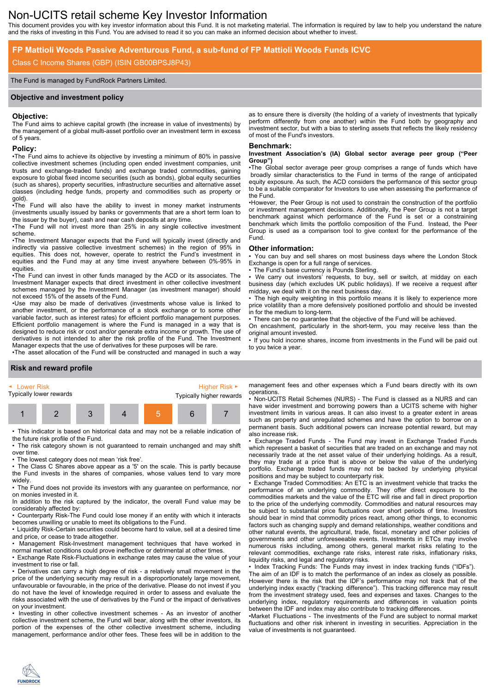# Non-UCITS retail scheme Key Investor Information

This document provides you with key investor information about this Fund. It is not marketing material. The information is required by law to help you understand the nature and the risks of investing in this Fund. You are advised to read it so you can make an informed decision about whether to invest.

# **FP Mattioli Woods Passive Adventurous Fund, a sub-fund of FP Mattioli Woods Funds ICVC**

## Class C Income Shares (GBP) (ISIN GB00BPSJ8P43)

#### The Fund is managed by FundRock Partners Limited.

#### **Objective and investment policy**

#### **Objective:**

The Fund aims to achieve capital growth (the increase in value of investments) by the management of a global multi-asset portfolio over an investment term in excess of 5 years.

#### **Policy:**

•The Fund aims to achieve its objective by investing a minimum of 80% in passive collective investment schemes (including open ended investment companies, unit trusts and exchange-traded funds) and exchange traded commodities, gaining exposure to global fixed income securities (such as bonds), global equity securities (such as shares), property securities, infrastructure securities and alternative asset classes (including hedge funds, property and commodities such as property or gold).

•The Fund will also have the ability to invest in money market instruments (investments usually issued by banks or governments that are a short term loan to the issuer by the buyer), cash and near cash deposits at any time.

•The Fund will not invest more than 25% in any single collective investment scheme.

•The Investment Manager expects that the Fund will typically invest (directly and indirectly via passive collective investment schemes) in the region of 95% in equities. This does not, however, operate to restrict the Fund's investment in equities and the Fund may at any time invest anywhere between 0%-95% in equities.

•The Fund can invest in other funds managed by the ACD or its associates. The Investment Manager expects that direct investment in other collective investment schemes managed by the Investment Manager (as investment manager) should not exceed 15% of the assets of the Fund.

•Use may also be made of derivatives (investments whose value is linked to another investment, or the performance of a stock exchange or to some other variable factor, such as interest rates) for efficient portfolio management purposes. Efficient portfolio management is where the Fund is managed in a way that is designed to reduce risk or cost and/or generate extra income or growth. The use of derivatives is not intended to alter the risk profile of the Fund. The Investment Manager expects that the use of derivatives for these purposes will be rare.

•The asset allocation of the Fund will be constructed and managed in such a way

#### as to ensure there is diversity (the holding of a variety of investments that typically perform differently from one another) within the Fund both by geography and investment sector, but with a bias to sterling assets that reflects the likely residency of most of the Fund's investors.

#### **Benchmark:**

#### **Investment Association's (IA) Global sector average peer group ("Peer Group")**

•The Global sector average peer group comprises a range of funds which have broadly similar characteristics to the Fund in terms of the range of anticipated equity exposure. As such, the ACD considers the performance of this sector group to be a suitable comparator for Investors to use when assessing the performance of the Fund.

•However, the Peer Group is not used to constrain the construction of the portfolio or investment management decisions. Additionally, the Peer Group is not a target benchmark against which performance of the Fund is set or a constraining benchmark which limits the portfolio composition of the Fund. Instead, the Peer Group is used as a comparison tool to give context for the performance of the Fund.

#### **Other information:**

• You can buy and sell shares on most business days where the London Stock Exchange is open for a full range of services.

The Fund's base currency is Pounds Sterling.

• We carry out investors' requests, to buy, sell or switch, at midday on each business day (which excludes UK public holidays). If we receive a request after midday, we deal with it on the next business day.

The high equity weighting in this portfolio means it is likely to experience more price volatility than a more defensively positioned portfolio and should be invested in for the medium to long-term.

There can be no guarantee that the objective of the Fund will be achieved.

On encashment, particularly in the short-term, you may receive less than the

original amount invested. • If you hold income shares, income from investments in the Fund will be paid out to you twice a year.

#### **Risk and reward profile**

| ► Lower Risk | Typically lower rewards |  | Typically higher rewards | Higher Risk $\blacktriangleright$ |
|--------------|-------------------------|--|--------------------------|-----------------------------------|
|              |                         |  |                          |                                   |

• This indicator is based on historical data and may not be a reliable indication of the future risk profile of the Fund.

• The risk category shown is not guaranteed to remain unchanged and may shift over time.

• The lowest category does not mean 'risk free'.

• The Class C Shares above appear as a '5' on the scale. This is partly because the Fund invests in the shares of companies, whose values tend to vary more widely.

• The Fund does not provide its investors with any guarantee on performance, nor on monies invested in it.

In addition to the risk captured by the indicator, the overall Fund value may be considerably affected by:

• Counterparty Risk-The Fund could lose money if an entity with which it interacts becomes unwilling or unable to meet its obligations to the Fund.

• Liquidity Risk-Certain securities could become hard to value, sell at a desired time and price, or cease to trade altogether.

• Management Risk-Investment management techniques that have worked in normal market conditions could prove ineffective or detrimental at other times.

• Exchange Rate Risk-Fluctuations in exchange rates may cause the value of your investment to rise or fall.

• Derivatives can carry a high degree of risk - a relatively small movement in the price of the underlying security may result in a disproportionately large movement, unfavourable or favourable, in the price of the derivative. Please do not invest if you do not have the level of knowledge required in order to assess and evaluate the risks associated with the use of derivatives by the Fund or the impact of derivatives on your investment.

• Investing in other collective investment schemes - As an investor of another collective investment scheme, the Fund will bear, along with the other investors, its portion of the expenses of the other collective investment scheme, including management, performance and/or other fees. These fees will be in addition to the

management fees and other expenses which a Fund bears directly with its own operations.

• Non-UCITS Retail Schemes (NURS) - The Fund is classed as a NURS and can have wider investment and borrowing powers than a UCITS scheme with higher investment limits in various areas. It can also invest to a greater extent in areas such as property and unregulated schemes and have the option to borrow on a permanent basis. Such additional powers can increase potential reward, but may also increase risk.

• Exchange Traded Funds - The Fund may invest in Exchange Traded Funds which represent a basket of securities that are traded on an exchange and may not necessarily trade at the net asset value of their underlying holdings. As a result, they may trade at a price that is above or below the value of the underlying portfolio. Exchange traded funds may not be backed by underlying physical positions and may be subject to counterparty risk.

• Exchange Traded Commodities: An ETC is an investment vehicle that tracks the performance of an underlying commodity. They offer direct exposure to the commodities markets and the value of the ETC will rise and fall in direct proportion to the price of the underlying commodity. Commodities and natural resources may be subject to substantial price fluctuations over short periods of time. Investors should bear in mind that commodity prices react, among other things, to economic factors such as changing supply and demand relationships, weather conditions and other natural events, the agricultural, trade, fiscal, monetary and other policies of governments and other unforeseeable events. Investments in ETCs may involve numerous risks including, among others, general market risks relating to the relevant commodities, exchange rate risks, interest rate risks, inflationary risks, liquidity risks, and legal and regulatory risks.

• Index Tracking Funds: The Funds may invest in index tracking funds ("IDFs"). The aim of an IDF is to match the performance of an index as closely as possible. However there is the risk that the IDF's performance may not track that of the underlying index exactly ("tracking difference"). This tracking difference may result from the investment strategy used, fees and expenses and taxes. Changes to the underlying index, regulatory requirements and differences in valuation points between the IDF and index may also contribute to tracking differences.

•Market Fluctuations - The investments of the Fund are subject to normal market fluctuations and other risk inherent in investing in securities. Appreciation in the value of investments is not guaranteed.